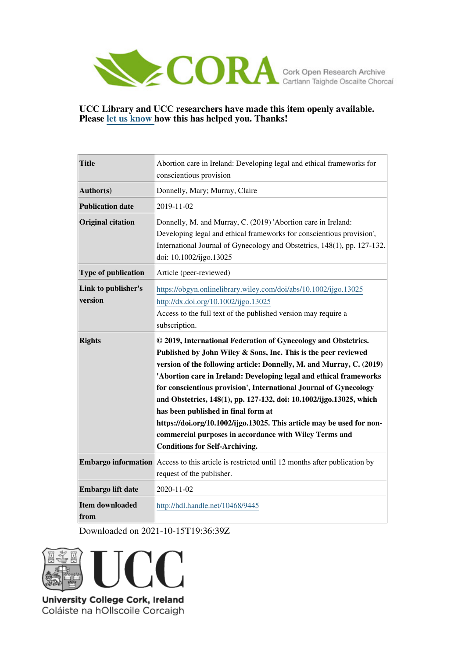

## **UCC Library and UCC researchers have made this item openly available. Please [let us know h](https://libguides.ucc.ie/openaccess/impact?suffix=9445&title=Abortion care in Ireland: Developing legal and ethical frameworks for conscientious provision)ow this has helped you. Thanks!**

| <b>Title</b>                   | Abortion care in Ireland: Developing legal and ethical frameworks for<br>conscientious provision                                                                                                                                                                                                                                                                                                                                                                                                                                                                                                                                              |
|--------------------------------|-----------------------------------------------------------------------------------------------------------------------------------------------------------------------------------------------------------------------------------------------------------------------------------------------------------------------------------------------------------------------------------------------------------------------------------------------------------------------------------------------------------------------------------------------------------------------------------------------------------------------------------------------|
| Author(s)                      | Donnelly, Mary; Murray, Claire                                                                                                                                                                                                                                                                                                                                                                                                                                                                                                                                                                                                                |
| <b>Publication date</b>        | 2019-11-02                                                                                                                                                                                                                                                                                                                                                                                                                                                                                                                                                                                                                                    |
| <b>Original citation</b>       | Donnelly, M. and Murray, C. (2019) 'Abortion care in Ireland:<br>Developing legal and ethical frameworks for conscientious provision',<br>International Journal of Gynecology and Obstetrics, 148(1), pp. 127-132.<br>doi: 10.1002/ijgo.13025                                                                                                                                                                                                                                                                                                                                                                                                 |
| Type of publication            | Article (peer-reviewed)                                                                                                                                                                                                                                                                                                                                                                                                                                                                                                                                                                                                                       |
| Link to publisher's<br>version | https://obgyn.onlinelibrary.wiley.com/doi/abs/10.1002/ijgo.13025<br>http://dx.doi.org/10.1002/ijgo.13025<br>Access to the full text of the published version may require a<br>subscription.                                                                                                                                                                                                                                                                                                                                                                                                                                                   |
| <b>Rights</b>                  | © 2019, International Federation of Gynecology and Obstetrics.<br>Published by John Wiley & Sons, Inc. This is the peer reviewed<br>version of the following article: Donnelly, M. and Murray, C. (2019)<br>'Abortion care in Ireland: Developing legal and ethical frameworks<br>for conscientious provision', International Journal of Gynecology<br>and Obstetrics, 148(1), pp. 127-132, doi: 10.1002/ijgo.13025, which<br>has been published in final form at<br>https://doi.org/10.1002/ijgo.13025. This article may be used for non-<br>commercial purposes in accordance with Wiley Terms and<br><b>Conditions for Self-Archiving.</b> |
|                                | Embargo information Access to this article is restricted until 12 months after publication by<br>request of the publisher.                                                                                                                                                                                                                                                                                                                                                                                                                                                                                                                    |
| Embargo lift date              | 2020-11-02                                                                                                                                                                                                                                                                                                                                                                                                                                                                                                                                                                                                                                    |
| <b>Item downloaded</b><br>from | http://hdl.handle.net/10468/9445                                                                                                                                                                                                                                                                                                                                                                                                                                                                                                                                                                                                              |

Downloaded on 2021-10-15T19:36:39Z



University College Cork, Ireland Coláiste na hOllscoile Corcaigh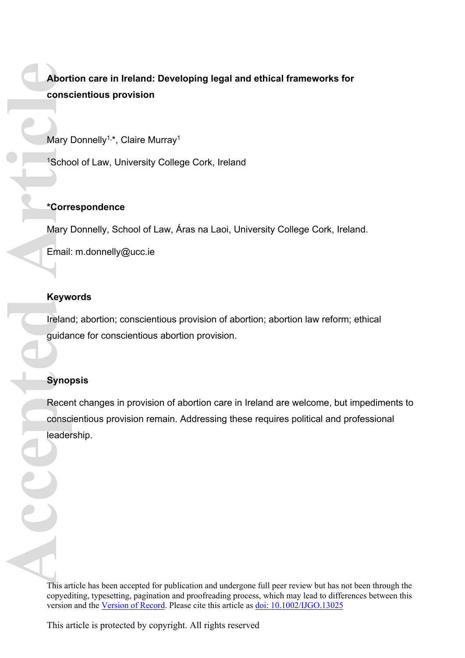**Abortion care in Ireland: Developing legal and ethical frameworks for conscientious provision**

Mary Donnelly<sup>1,\*</sup>, Claire Murray<sup>1</sup>

<sup>1</sup>School of Law, University College Cork, Ireland

#### **\*Correspondence**

Mary Donnelly, School of Law, Áras na Laoi, University College Cork, Ireland.

Email: [m.donnelly@ucc.ie](mailto:m.donnelly@ucc.ie)

## **Keywords**

Ireland; abortion; conscientious provision of abortion; abortion law reform; ethical guidance for conscientious abortion provision.

#### **Synopsis**

Abortion conscienti<br>
Mary Donn<br>
School of<br>
\*Correspo<br>
Mary Donn<br>
Email: m.do<br>
Keywords<br>
Ireland; aboguidance for<br>
Synopsis<br>
Recent cha<br>
conscientic<br>
leadership.<br>
This article<br>
h Recent changes in provision of abortion care in Ireland are welcome, but impediments to conscientious provision remain. Addressing these requires political and professional leadership.

This article has been accepted for publication and undergone full peer review but has not been through the copyediting, typesetting, pagination and proofreading process, which may lead to differences between this version and the [Version of Record](https://doi.org/10.1002/IJGO.13025). Please cite this article as [doi: 10.1002/IJGO.13025](https://doi.org/10.1002/IJGO.13025)

This article is protected by copyright. All rights reserved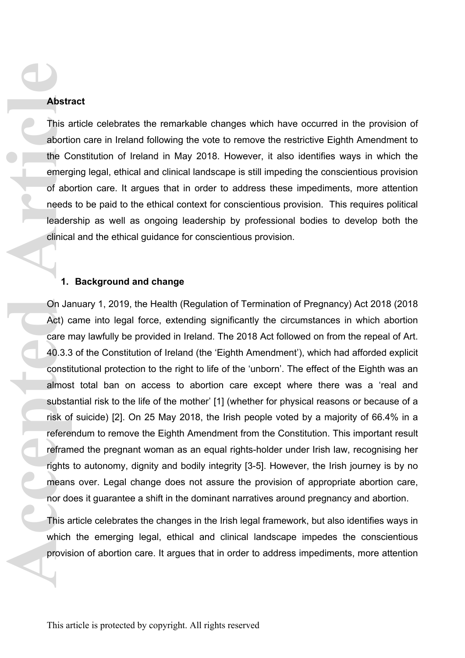#### **Abstract**

This article celebrates the remarkable changes which have occurred in the provision of abortion care in Ireland following the vote to remove the restrictive Eighth Amendment to the Constitution of Ireland in May 2018. However, it also identifies ways in which the emerging legal, ethical and clinical landscape is still impeding the conscientious provision of abortion care. It argues that in order to address these impediments, more attention needs to be paid to the ethical context for conscientious provision. This requires political leadership as well as ongoing leadership by professional bodies to develop both the clinical and the ethical guidance for conscientious provision.

### **1. Background and change**

On January 1, 2019, the Health (Regulation of Termination of Pregnancy) Act 2018 (2018 Act) came into legal force, extending significantly the circumstances in which abortion care may lawfully be provided in Ireland. The 2018 Act followed on from the repeal of Art. 40.3.3 of the Constitution of Ireland (the 'Eighth Amendment'), which had afforded explicit constitutional protection to the right to life of the 'unborn'. The effect of the Eighth was an almost total ban on access to abortion care except where there was a 'real and substantial risk to the life of the mother' [1] (whether for physical reasons or because of a risk of suicide) [2]. On 25 May 2018, the Irish people voted by a majority of 66.4% in a referendum to remove the Eighth Amendment from the Constitution. This important result reframed the pregnant woman as an equal rights-holder under Irish law, recognising her rights to autonomy, dignity and bodily integrity [3-5]. However, the Irish journey is by no means over. Legal change does not assure the provision of appropriate abortion care, nor does it guarantee a shift in the dominant narratives around pregnancy and abortion. **Abstract**<br>
This atticle celebrates the nemarkable changes which have occurred in the provision of abortion care in treiand following the volta to memore the restrictive Eighth Amendment to the Constitution of Ireland in M

This article celebrates the changes in the Irish legal framework, but also identifies ways in which the emerging legal, ethical and clinical landscape impedes the conscientious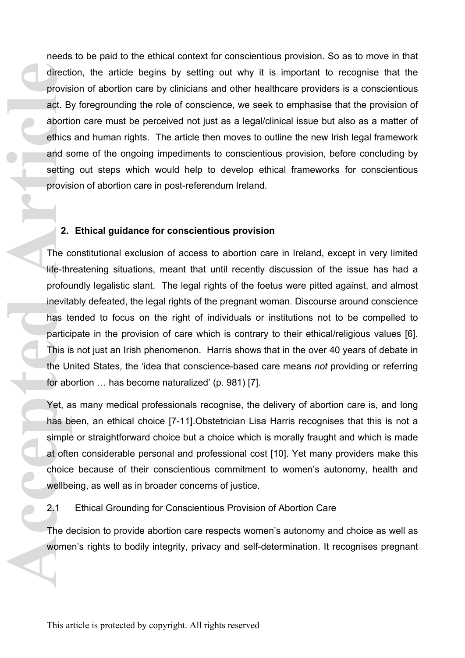needs to be paid to the ethical context for conscientious provision. So as to move in that direction, the article begins by setting out why it is important to recognise that the provision of abortion care by clinicians and other healthcare providers is a conscientious act. By foregrounding the role of conscience, we seek to emphasise that the provision of abortion care must be perceived not just as a legal/clinical issue but also as a matter of ethics and human rights. The article then moves to outline the new Irish legal framework and some of the ongoing impediments to conscientious provision, before concluding by setting out steps which would help to develop ethical frameworks for conscientious provision of abortion care in post-referendum Ireland.

# **2. Ethical guidance for conscientious provision**

The constitutional exclusion of access to abortion care in Ireland, except in very limited life-threatening situations, meant that until recently discussion of the issue has had a profoundly legalistic slant. The legal rights of the foetus were pitted against, and almost inevitably defeated, the legal rights of the pregnant woman. Discourse around conscience has tended to focus on the right of individuals or institutions not to be compelled to participate in the provision of care which is contrary to their ethical/religious values [6]. This is not just an Irish phenomenon. Harris shows that in the over 40 years of debate in the United States, the 'idea that conscience-based care means *not* providing or referring for abortion … has become naturalized' (p. 981) [7]. direction, the article begins by setting out why it is important to recognise that the<br>provident calculator are by circle and chef healthcare providers is a conscience<br>and the provident care of the conscience. we seek to e

Yet, as many medical professionals recognise, the delivery of abortion care is, and long has been, an ethical choice [7-11].Obstetrician Lisa Harris recognises that this is not a simple or straightforward choice but a choice which is morally fraught and which is made at often considerable personal and professional cost [10]. Yet many providers make this choice because of their conscientious commitment to women's autonomy, health and wellbeing, as well as in broader concerns of justice.

2.1 Ethical Grounding for Conscientious Provision of Abortion Care

The decision to provide abortion care respects women's autonomy and choice as well as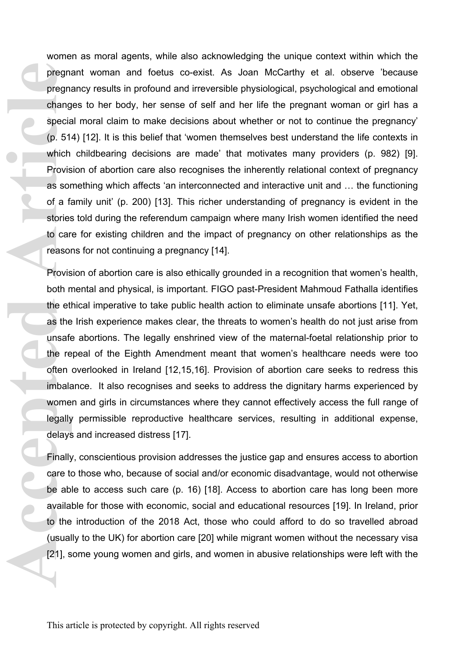women as moral agents, while also acknowledging the unique context within which the pregnant woman and foetus co-exist. As Joan McCarthy et al. observe 'because pregnancy results in profound and irreversible physiological, psychological and emotional changes to her body, her sense of self and her life the pregnant woman or girl has a special moral claim to make decisions about whether or not to continue the pregnancy' (p. 514) [12]. It is this belief that 'women themselves best understand the life contexts in which childbearing decisions are made' that motivates many providers (p. 982) [9]. Provision of abortion care also recognises the inherently relational context of pregnancy as something which affects 'an interconnected and interactive unit and … the functioning of a family unit' (p. 200) [13]. This richer understanding of pregnancy is evident in the stories told during the referendum campaign where many Irish women identified the need to care for existing children and the impact of pregnancy on other relationships as the reasons for not continuing a pregnancy [14]. **Experience the control and forest some setst.** As Joan McCarthy et al. observe "because pregnancy exerts in proformation trancestible physiological partychological and emotional and proformation and proformation and girls

Provision of abortion care is also ethically grounded in a recognition that women's health, both mental and physical, is important. FIGO past-President Mahmoud Fathalla identifies the ethical imperative to take public health action to eliminate unsafe abortions [11]. Yet, as the Irish experience makes clear, the threats to women's health do not just arise from unsafe abortions. The legally enshrined view of the maternal-foetal relationship prior to the repeal of the Eighth Amendment meant that women's healthcare needs were too often overlooked in Ireland [12,15,16]. Provision of abortion care seeks to redress this imbalance. It also recognises and seeks to address the dignitary harms experienced by women and girls in circumstances where they cannot effectively access the full range of legally permissible reproductive healthcare services, resulting in additional expense, delays and increased distress [17].

Finally, conscientious provision addresses the justice gap and ensures access to abortion care to those who, because of social and/or economic disadvantage, would not otherwise be able to access such care (p. 16) [18]. Access to abortion care has long been more available for those with economic, social and educational resources [19]. In Ireland, prior to the introduction of the 2018 Act, those who could afford to do so travelled abroad (usually to the UK) for abortion care [20] while migrant women without the necessary visa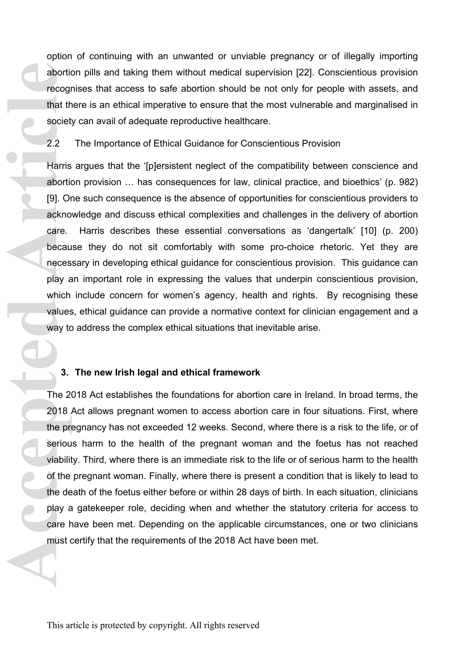option of continuing with an unwanted or unviable pregnancy or of illegally importing abortion pills and taking them without medical supervision [22]. Conscientious provision recognises that access to safe abortion should be not only for people with assets, and that there is an ethical imperative to ensure that the most vulnerable and marginalised in society can avail of adequate reproductive healthcare.

2.2 The Importance of Ethical Guidance for Conscientious Provision

Harris argues that the '[p]ersistent neglect of the compatibility between conscience and abortion provision … has consequences for law, clinical practice, and bioethics' (p. 982) [9]. One such consequence is the absence of opportunities for conscientious providers to acknowledge and discuss ethical complexities and challenges in the delivery of abortion care. Harris describes these essential conversations as 'dangertalk' [10] (p. 200) because they do not sit comfortably with some pro-choice rhetoric. Yet they are necessary in developing ethical guidance for conscientious provision. This guidance can play an important role in expressing the values that underpin conscientious provision, which include concern for women's agency, health and rights. By recognising these values, ethical guidance can provide a normative context for clinician engagement and a way to address the complex ethical situations that inevitable arise. abortion pills and taking them without medical supervision [22].<br>
recognises that access to safe abortion should be not only for<br>
the there is an ethical imperative to ensure that the most vulner<br>
society can avail of adeq

# **3. The new Irish legal and ethical framework**

The 2018 Act establishes the foundations for abortion care in Ireland. In broad terms, the 2018 Act allows pregnant women to access abortion care in four situations. First, where the pregnancy has not exceeded 12 weeks. Second, where there is a risk to the life, or of serious harm to the health of the pregnant woman and the foetus has not reached viability. Third, where there is an immediate risk to the life or of serious harm to the health of the pregnant woman. Finally, where there is present a condition that is likely to lead to the death of the foetus either before or within 28 days of birth. In each situation, clinicians play a gatekeeper role, deciding when and whether the statutory criteria for access to care have been met. Depending on the applicable circumstances, one or two clinicians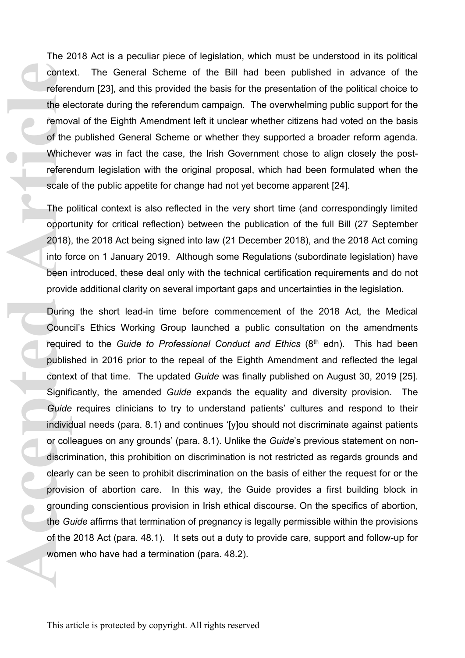The 2018 Act is a peculiar piece of legislation, which must be understood in its political context. The General Scheme of the Bill had been published in advance of the referendum [23], and this provided the basis for the presentation of the political choice to the electorate during the referendum campaign. The overwhelming public support for the removal of the Eighth Amendment left it unclear whether citizens had voted on the basis of the published General Scheme or whether they supported a broader reform agenda. Whichever was in fact the case, the Irish Government chose to align closely the postreferendum legislation with the original proposal, which had been formulated when the scale of the public appetite for change had not yet become apparent [24].

The political context is also reflected in the very short time (and correspondingly limited opportunity for critical reflection) between the publication of the full Bill (27 September 2018), the 2018 Act being signed into law (21 December 2018), and the 2018 Act coming into force on 1 January 2019. Although some Regulations (subordinate legislation) have been introduced, these deal only with the technical certification requirements and do not provide additional clarity on several important gaps and uncertainties in the legislation.

During the short lead-in time before commencement of the 2018 Act, the Medical Council's Ethics Working Group launched a public consultation on the amendments required to the *Guide to Professional Conduct and Ethics* (8<sup>th</sup> edn). This had been published in 2016 prior to the repeal of the Eighth Amendment and reflected the legal context of that time. The updated *Guide* was finally published on August 30, 2019 [25]. Significantly, the amended *Guide* expands the equality and diversity provision. The *Guide* requires clinicians to try to understand patients' cultures and respond to their individual needs (para. 8.1) and continues '[y]ou should not discriminate against patients or colleagues on any grounds' (para. 8.1). Unlike the *Guide*'s previous statement on nondiscrimination, this prohibition on discrimination is not restricted as regards grounds and clearly can be seen to prohibit discrimination on the basis of either the request for or the provision of abortion care. In this way, the Guide provides a first building block in grounding conscientious provision in Irish ethical discourse. On the specifics of abortion, the *Guide* affirms that termination of pregnancy is legally permissible within the provisions of the 2018 Act (para. 48.1). It sets out a duty to provide care, support and follow-up for context. The General Scheme of the Bill hareferendum [23], and this provided the basis for the electorate during the referendum campaign.<br>
removal of the Eighth Amendment left it unclear of the published General Scheme or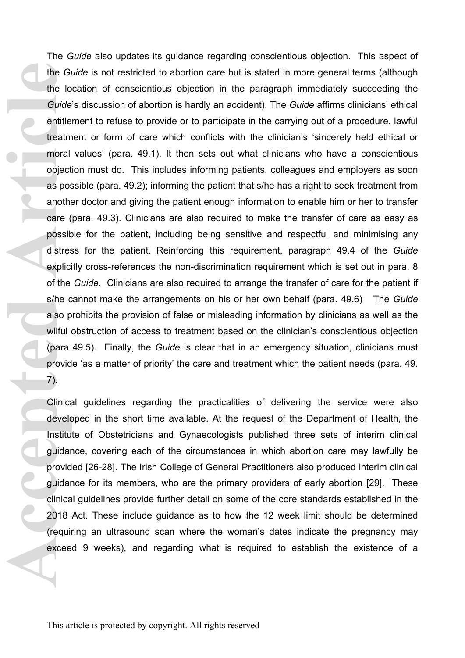The *Guide* also updates its guidance regarding conscientious objection. This aspect of the *Guide* is not restricted to abortion care but is stated in more general terms (although the location of conscientious objection in the paragraph immediately succeeding the *Guide*'s discussion of abortion is hardly an accident). The *Guide* affirms clinicians' ethical entitlement to refuse to provide or to participate in the carrying out of a procedure, lawful treatment or form of care which conflicts with the clinician's 'sincerely held ethical or moral values' (para. 49.1). It then sets out what clinicians who have a conscientious objection must do. This includes informing patients, colleagues and employers as soon as possible (para. 49.2); informing the patient that s/he has a right to seek treatment from another doctor and giving the patient enough information to enable him or her to transfer care (para. 49.3). Clinicians are also required to make the transfer of care as easy as possible for the patient, including being sensitive and respectful and minimising any distress for the patient. Reinforcing this requirement, paragraph 49.4 of the *Guide*  explicitly cross-references the non-discrimination requirement which is set out in para. 8 of the *Guide*. Clinicians are also required to arrange the transfer of care for the patient if s/he cannot make the arrangements on his or her own behalf (para. 49.6) The *Guide*  also prohibits the provision of false or misleading information by clinicians as well as the wilful obstruction of access to treatment based on the clinician's conscientious objection (para 49.5). Finally, the *Guide* is clear that in an emergency situation, clinicians must provide 'as a matter of priority' the care and treatment which the patient needs (para. 49. 7). the *Guide* is not restricted to abortion care but is stated in more general terms (atthough<br>the location of conscientious objection in the paragraph inmediately succeedure, law<br>but is divideo and conscienting the existenc

Clinical guidelines regarding the practicalities of delivering the service were also developed in the short time available. At the request of the Department of Health, the Institute of Obstetricians and Gynaecologists published three sets of interim clinical guidance, covering each of the circumstances in which abortion care may lawfully be provided [26-28]. The Irish College of General Practitioners also produced interim clinical guidance for its members, who are the primary providers of early abortion [29]. These clinical guidelines provide further detail on some of the core standards established in the 2018 Act. These include guidance as to how the 12 week limit should be determined (requiring an ultrasound scan where the woman's dates indicate the pregnancy may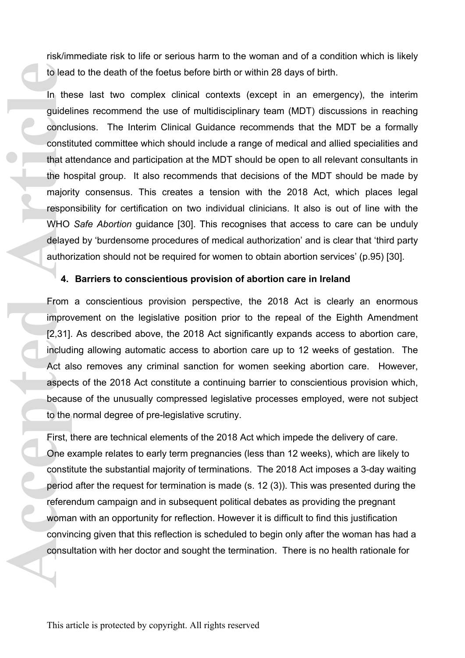risk/immediate risk to life or serious harm to the woman and of a condition which is likely to lead to the death of the foetus before birth or within 28 days of birth.

In these last two complex clinical contexts (except in an emergency), the interim guidelines recommend the use of multidisciplinary team (MDT) discussions in reaching conclusions. The Interim Clinical Guidance recommends that the MDT be a formally constituted committee which should include a range of medical and allied specialities and that attendance and participation at the MDT should be open to all relevant consultants in the hospital group. It also recommends that decisions of the MDT should be made by majority consensus. This creates a tension with the 2018 Act, which places legal responsibility for certification on two individual clinicians. It also is out of line with the WHO *Safe Abortion* guidance [30]. This recognises that access to care can be unduly delayed by 'burdensome procedures of medical authorization' and is clear that 'third party authorization should not be required for women to obtain abortion services' (p.95) [30]. to lead to the death of the foetus before birth or within 28 days of birth.<br>
In these last two complex cirincal condests (except in an emergency), the interiguidations recomment the use of multidisciplinary team (MDT) disc

# **4. Barriers to conscientious provision of abortion care in Ireland**

From a conscientious provision perspective, the 2018 Act is clearly an enormous improvement on the legislative position prior to the repeal of the Eighth Amendment [2,31]. As described above, the 2018 Act significantly expands access to abortion care, including allowing automatic access to abortion care up to 12 weeks of gestation. The Act also removes any criminal sanction for women seeking abortion care. However, aspects of the 2018 Act constitute a continuing barrier to conscientious provision which, because of the unusually compressed legislative processes employed, were not subject to the normal degree of pre-legislative scrutiny.

First, there are technical elements of the 2018 Act which impede the delivery of care. One example relates to early term pregnancies (less than 12 weeks), which are likely to constitute the substantial majority of terminations. The 2018 Act imposes a 3-day waiting period after the request for termination is made (s. 12 (3)). This was presented during the referendum campaign and in subsequent political debates as providing the pregnant woman with an opportunity for reflection. However it is difficult to find this justification convincing given that this reflection is scheduled to begin only after the woman has had a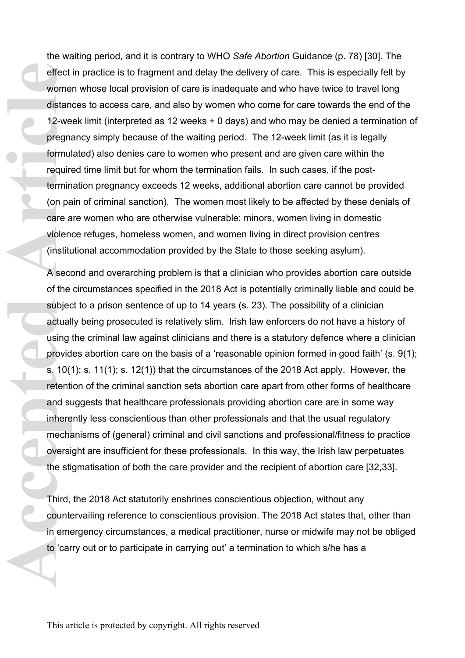the waiting period, and it is contrary to WHO *Safe Abortion* Guidance (p. 78) [30]. The effect in practice is to fragment and delay the delivery of care. This is especially felt by women whose local provision of care is inadequate and who have twice to travel long distances to access care, and also by women who come for care towards the end of the 12-week limit (interpreted as 12 weeks + 0 days) and who may be denied a termination of pregnancy simply because of the waiting period. The 12-week limit (as it is legally formulated) also denies care to women who present and are given care within the required time limit but for whom the termination fails. In such cases, if the posttermination pregnancy exceeds 12 weeks, additional abortion care cannot be provided (on pain of criminal sanction). The women most likely to be affected by these denials of care are women who are otherwise vulnerable: minors, women living in domestic violence refuges, homeless women, and women living in direct provision centres (institutional accommodation provided by the State to those seeking asylum).

A second and overarching problem is that a clinician who provides abortion care outside of the circumstances specified in the 2018 Act is potentially criminally liable and could be subject to a prison sentence of up to 14 years (s. 23). The possibility of a clinician actually being prosecuted is relatively slim. Irish law enforcers do not have a history of using the criminal law against clinicians and there is a statutory defence where a clinician provides abortion care on the basis of a 'reasonable opinion formed in good faith' (s. 9(1); s. 10(1); s. 11(1); s. 12(1)) that the circumstances of the 2018 Act apply. However, the retention of the criminal sanction sets abortion care apart from other forms of healthcare and suggests that healthcare professionals providing abortion care are in some way inherently less conscientious than other professionals and that the usual regulatory mechanisms of (general) criminal and civil sanctions and professional/fitness to practice oversight are insufficient for these professionals. In this way, the Irish law perpetuates the stigmatisation of both the care provider and the recipient of abortion care [32,33]. effect in practice is to fragment and delay the delivery of care. This is especial<br>women whose load provision of carre is inadequate and who have twice to rate<br>distances to access care, and also by women who come for care

Third, the 2018 Act statutorily enshrines conscientious objection, without any countervailing reference to conscientious provision. The 2018 Act states that, other than in emergency circumstances, a medical practitioner, nurse or midwife may not be obliged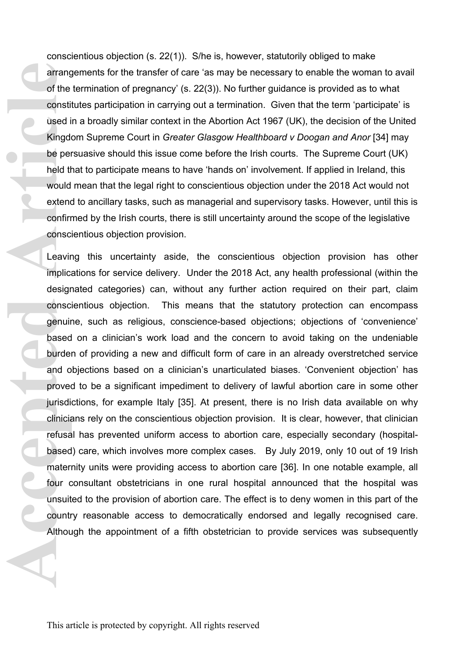conscientious objection (s. 22(1)). S/he is, however, statutorily obliged to make arrangements for the transfer of care 'as may be necessary to enable the woman to avail of the termination of pregnancy' (s. 22(3)). No further guidance is provided as to what constitutes participation in carrying out a termination. Given that the term 'participate' is used in a broadly similar context in the Abortion Act 1967 (UK), the decision of the United Kingdom Supreme Court in *Greater Glasgow Healthboard v Doogan and Anor* [34] may be persuasive should this issue come before the Irish courts. The Supreme Court (UK) held that to participate means to have 'hands on' involvement. If applied in Ireland, this would mean that the legal right to conscientious objection under the 2018 Act would not extend to ancillary tasks, such as managerial and supervisory tasks. However, until this is confirmed by the Irish courts, there is still uncertainty around the scope of the legislative conscientious objection provision.

Leaving this uncertainty aside, the conscientious objection provision has other implications for service delivery. Under the 2018 Act, any health professional (within the designated categories) can, without any further action required on their part, claim conscientious objection. This means that the statutory protection can encompass genuine, such as religious, conscience-based objections; objections of 'convenience' based on a clinician's work load and the concern to avoid taking on the undeniable burden of providing a new and difficult form of care in an already overstretched service and objections based on a clinician's unarticulated biases. 'Convenient objection' has proved to be a significant impediment to delivery of lawful abortion care in some other jurisdictions, for example Italy [35]. At present, there is no Irish data available on why clinicians rely on the conscientious objection provision. It is clear, however, that clinician refusal has prevented uniform access to abortion care, especially secondary (hospitalbased) care, which involves more complex cases. By July 2019, only 10 out of 19 Irish maternity units were providing access to abortion care [36]. In one notable example, all four consultant obstetricians in one rural hospital announced that the hospital was unsuited to the provision of abortion care. The effect is to deny women in this part of the country reasonable access to democratically endorsed and legally recognised care. arrangements for the transfer of care 'as may be necessary to enable the woman to avail<br>of the termination of pregnancy (s. 22(3). No further guidance is provided as to what<br>constitutes participation in carrying out a term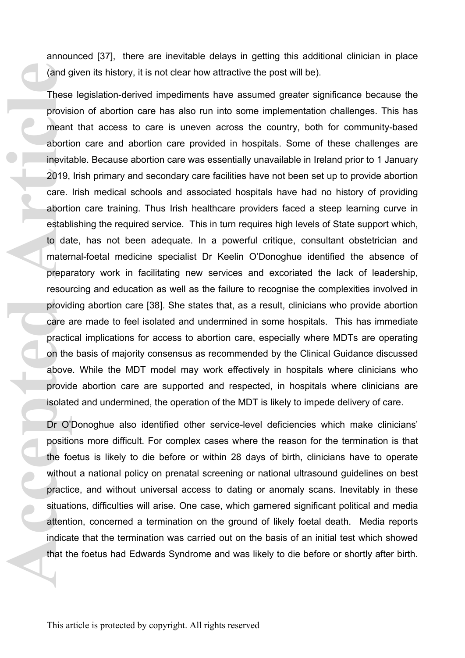announced [37], there are inevitable delays in getting this additional clinician in place (and given its history, it is not clear how attractive the post will be).

These legislation-derived impediments have assumed greater significance because the provision of abortion care has also run into some implementation challenges. This has meant that access to care is uneven across the country, both for community-based abortion care and abortion care provided in hospitals. Some of these challenges are inevitable. Because abortion care was essentially unavailable in Ireland prior to 1 January 2019, Irish primary and secondary care facilities have not been set up to provide abortion care. Irish medical schools and associated hospitals have had no history of providing abortion care training. Thus Irish healthcare providers faced a steep learning curve in establishing the required service. This in turn requires high levels of State support which, to date, has not been adequate. In a powerful critique, consultant obstetrician and maternal-foetal medicine specialist Dr Keelin O'Donoghue identified the absence of preparatory work in facilitating new services and excoriated the lack of leadership, resourcing and education as well as the failure to recognise the complexities involved in providing abortion care [38]. She states that, as a result, clinicians who provide abortion care are made to feel isolated and undermined in some hospitals. This has immediate practical implications for access to abortion care, especially where MDTs are operating on the basis of majority consensus as recommended by the Clinical Guidance discussed above. While the MDT model may work effectively in hospitals where clinicians who provide abortion care are supported and respected, in hospitals where clinicians are isolated and undermined, the operation of the MDT is likely to impede delivery of care. (and given its history, it is not dear how attractive the post will be).<br>These legislation-derived impediments have assumed greater significance because the provision of abortion care has also run in to some implementation

Dr O'Donoghue also identified other service-level deficiencies which make clinicians' positions more difficult. For complex cases where the reason for the termination is that the foetus is likely to die before or within 28 days of birth, clinicians have to operate without a national policy on prenatal screening or national ultrasound guidelines on best practice, and without universal access to dating or anomaly scans. Inevitably in these situations, difficulties will arise. One case, which garnered significant political and media attention, concerned a termination on the ground of likely foetal death. Media reports indicate that the termination was carried out on the basis of an initial test which showed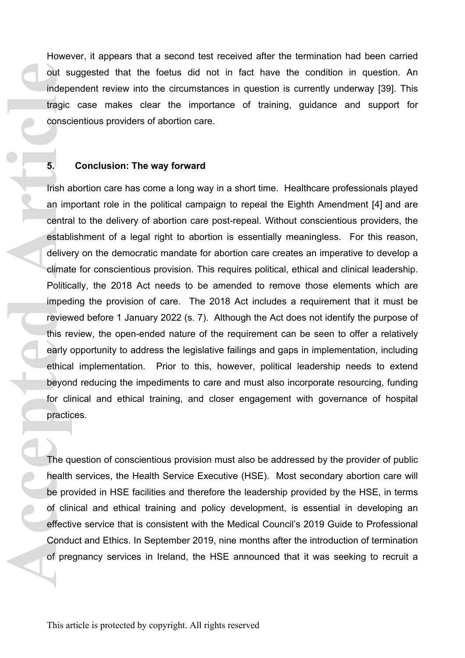However, it appears that a second test received after the termination had been carried out suggested that the foetus did not in fact have the condition in question. An independent review into the circumstances in question is currently underway [39]. This tragic case makes clear the importance of training, guidance and support for conscientious providers of abortion care.

# **5. Conclusion: The way forward**

Irish abortion care has come a long way in a short time. Healthcare professionals played an important role in the political campaign to repeal the Eighth Amendment [4] and are central to the delivery of abortion care post-repeal. Without conscientious providers, the establishment of a legal right to abortion is essentially meaningless. For this reason, delivery on the democratic mandate for abortion care creates an imperative to develop a climate for conscientious provision. This requires political, ethical and clinical leadership. Politically, the 2018 Act needs to be amended to remove those elements which are impeding the provision of care. The 2018 Act includes a requirement that it must be reviewed before 1 January 2022 (s. 7). Although the Act does not identify the purpose of this review, the open-ended nature of the requirement can be seen to offer a relatively early opportunity to address the legislative failings and gaps in implementation, including ethical implementation. Prior to this, however, political leadership needs to extend beyond reducing the impediments to care and must also incorporate resourcing, funding for clinical and ethical training, and closer engagement with governance of hospital practices. of the subsects of the forests of the forests in the formulation in question. An independent review in the incremations in question is currently undereas in a strength in the formulation of the finance article of the HSL c

The question of conscientious provision must also be addressed by the provider of public health services, the Health Service Executive (HSE). Most secondary abortion care will be provided in HSE facilities and therefore the leadership provided by the HSE, in terms of clinical and ethical training and policy development, is essential in developing an effective service that is consistent with the Medical Council's 2019 Guide to Professional Conduct and Ethics. In September 2019, nine months after the introduction of termination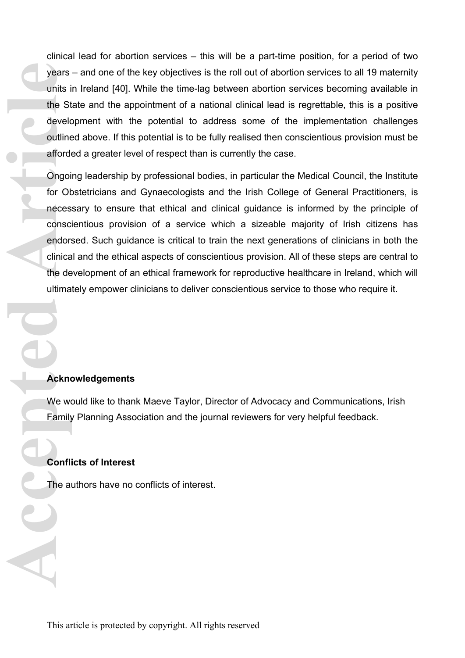clinical lead for abortion services – this will be a part-time position, for a period of two years – and one of the key objectives is the roll out of abortion services to all 19 maternity units in Ireland [40]. While the time-lag between abortion services becoming available in the State and the appointment of a national clinical lead is regrettable, this is a positive development with the potential to address some of the implementation challenges outlined above. If this potential is to be fully realised then conscientious provision must be afforded a greater level of respect than is currently the case.

Ongoing leadership by professional bodies, in particular the Medical Council, the Institute for Obstetricians and Gynaecologists and the Irish College of General Practitioners, is necessary to ensure that ethical and clinical guidance is informed by the principle of conscientious provision of a service which a sizeable majority of Irish citizens has endorsed. Such guidance is critical to train the next generations of clinicians in both the clinical and the ethical aspects of conscientious provision. All of these steps are central to the development of an ethical framework for reproductive healthcare in Ireland, which will ultimately empower clinicians to deliver conscientious service to those who require it. vears – and one of the key objectives is tunits in Ireland [40]. While the time-lag the State and the appointment of a nation development with the potential to add outlined above. If this potential is to be functional both

#### **Acknowledgements**

We would like to thank Maeve Taylor, Director of Advocacy and Communications, Irish Family Planning Association and the journal reviewers for very helpful feedback.

## **Conflicts of Interest**

This article is protected by copyright. All rights reserved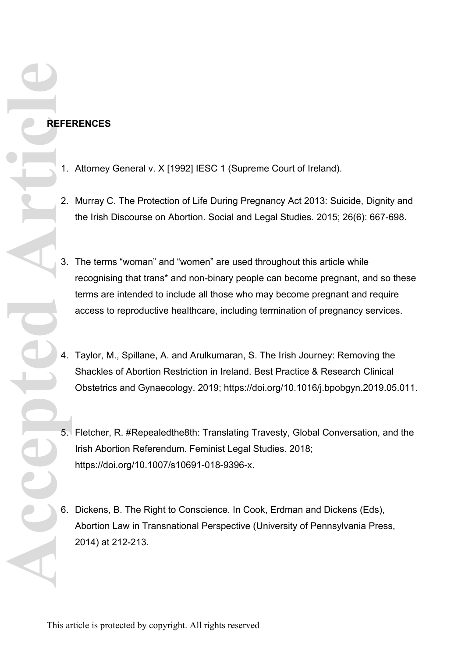# **REFERENCES**

- 1. Attorney General v. X [1992] IESC 1 (Supreme Court of Ireland).
- 2. Murray C. The Protection of Life During Pregnancy Act 2013: Suicide, Dignity and the Irish Discourse on Abortion. Social and Legal Studies. 2015; 26(6): 667-698.
- 3. The terms "woman" and "women" are used throughout this article while recognising that trans\* and non-binary people can become pregnant, and so these terms are intended to include all those who may become pregnant and require access to reproductive healthcare, including termination of pregnancy services. Accepted Article
	- 4. Taylor, M., Spillane, A. and Arulkumaran, S. The Irish Journey: Removing the Shackles of Abortion Restriction in Ireland. Best Practice & Research Clinical Obstetrics and Gynaecology. 2019; https://doi.org/10.1016/j.bpobgyn.2019.05.011.
	- 5. Fletcher, R. #Repealedthe8th: Translating Travesty, Global Conversation, and the Irish Abortion Referendum. Feminist Legal Studies. 2018; https://doi.org/10.1007/s10691-018-9396-x.
	- 6. Dickens, B. The Right to Conscience. In Cook, Erdman and Dickens (Eds), Abortion Law in Transnational Perspective (University of Pennsylvania Press, 2014) at 212-213.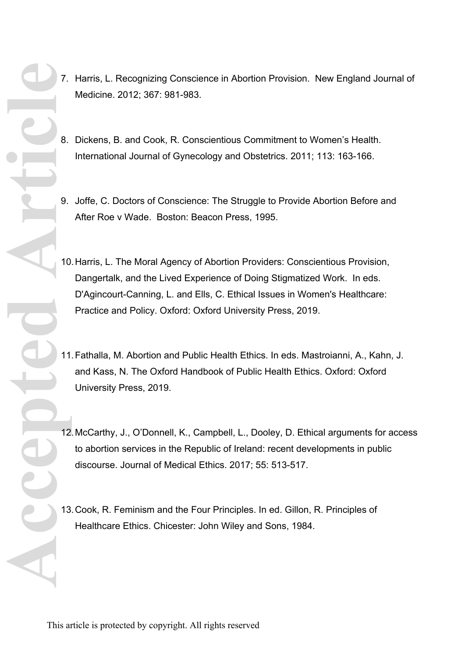- 7. Harris, L. Recognizing Conscience in Abortion Provision. New England Journal of Medicine. 2012; 367: 981-983.
- 8. Dickens, B. and Cook, R. Conscientious Commitment to Women's Health. International Journal of Gynecology and Obstetrics. 2011; 113: 163-166.
- 9. Joffe, C. Doctors of Conscience: The Struggle to Provide Abortion Before and After Roe v Wade. Boston: Beacon Press, 1995.
- 10.Harris, L. The Moral Agency of Abortion Providers: Conscientious Provision, Dangertalk, and the Lived Experience of Doing Stigmatized Work. In eds. D'Agincourt-Canning, L. and Ells, C. Ethical Issues in Women's Healthcare: Practice and Policy. Oxford: Oxford University Press, 2019.
- 11.Fathalla, M. Abortion and Public Health Ethics. In eds. Mastroianni, A., Kahn, J. and Kass, N. The Oxford Handbook of Public Health Ethics. Oxford: Oxford University Press, 2019.
- 12.McCarthy, J., O'Donnell, K., Campbell, L., Dooley, D. Ethical arguments for access to abortion services in the Republic of Ireland: recent developments in public discourse. Journal of Medical Ethics. 2017; 55: 513-517.
- 13.Cook, R. Feminism and the Four Principles. In ed. Gillon, R. Principles of Healthcare Ethics. Chicester: John Wiley and Sons, 1984.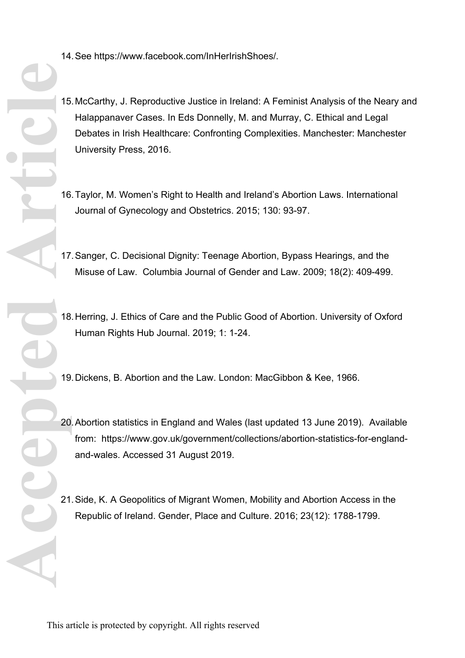14.See https://www.facebook.com/InHerIrishShoes/.

15.McCarthy, J. Reproductive Justice in Ireland: A Feminist Analysis of the Neary and Halappanaver Cases. In Eds Donnelly, M. and Murray, C. Ethical and Legal Debates in Irish Healthcare: Confronting Complexities. Manchester: Manchester University Press, 2016. **Accepted** "

16.Taylor, M. Women's Right to Health and Ireland's Abortion Laws. International Journal of Gynecology and Obstetrics. 2015; 130: 93-97.

17.Sanger, C. Decisional Dignity: Teenage Abortion, Bypass Hearings, and the Misuse of Law. Columbia Journal of Gender and Law. 2009; 18(2): 409-499.

18.Herring, J. Ethics of Care and the Public Good of Abortion. University of Oxford Human Rights Hub Journal. 2019; 1: 1-24.

19.Dickens, B. Abortion and the Law. London: MacGibbon & Kee, 1966.

20.Abortion statistics in England and Wales (last updated 13 June 2019). Available from: https://www.gov.uk/government/collections/abortion-statistics-for-englandand-wales. Accessed 31 August 2019.

21.Side, K. A Geopolitics of Migrant Women, Mobility and Abortion Access in the Republic of Ireland. Gender, Place and Culture. 2016; 23(12): 1788-1799.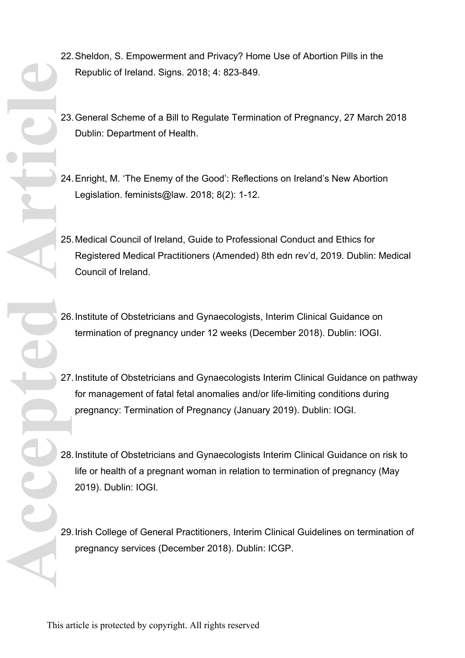22.Sheldon, S. Empowerment and Privacy? Home Use of Abortion Pills in the Republic of Ireland. Signs. 2018; 4: 823-849.

23.General Scheme of a Bill to Regulate Termination of Pregnancy, 27 March 2018 Dublin: Department of Health.

24.Enright, M. 'The Enemy of the Good': Reflections on Ireland's New Abortion Legislation. feminists@law. 2018; 8(2): 1-12.

25.Medical Council of Ireland, Guide to Professional Conduct and Ethics for Registered Medical Practitioners (Amended) 8th edn rev'd, 2019. Dublin: Medical Council of Ireland.

26.Institute of Obstetricians and Gynaecologists, Interim Clinical Guidance on termination of pregnancy under 12 weeks (December 2018). Dublin: IOGI.

27.Institute of Obstetricians and Gynaecologists Interim Clinical Guidance on pathway for management of fatal fetal anomalies and/or life-limiting conditions during pregnancy: Termination of Pregnancy (January 2019). Dublin: IOGI. **Accepted** 28

28.Institute of Obstetricians and Gynaecologists Interim Clinical Guidance on risk to life or health of a pregnant woman in relation to termination of pregnancy (May 2019). Dublin: IOGI.

29.Irish College of General Practitioners, Interim Clinical Guidelines on termination of pregnancy services (December 2018). Dublin: ICGP.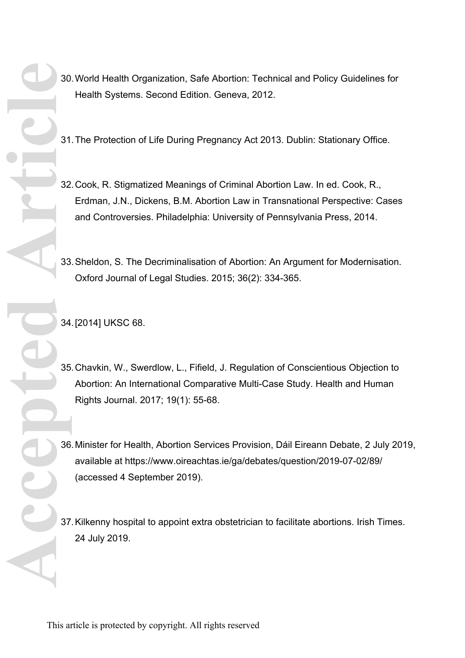30.World Health Organization, Safe Abortion: Technical and Policy Guidelines for Health Systems. Second Edition. Geneva, 2012.

31.The Protection of Life During Pregnancy Act 2013. Dublin: Stationary Office.

32.Cook, R. Stigmatized Meanings of Criminal Abortion Law. In ed. Cook, R., Erdman, J.N., Dickens, B.M. Abortion Law in Transnational Perspective: Cases and Controversies. Philadelphia: University of Pennsylvania Press, 2014.

33.Sheldon, S. The Decriminalisation of Abortion: An Argument for Modernisation. Oxford Journal of Legal Studies. 2015; 36(2): 334-365.

34.[2014] UKSC 68.

35.Chavkin, W., Swerdlow, L., Fifield, J. Regulation of Conscientious Objection to Abortion: An International Comparative Multi-Case Study. Health and Human Rights Journal. 2017; 19(1): 55-68.

36.Minister for Health, Abortion Services Provision, Dáil Eireann Debate, 2 July 2019, available at https://www.oireachtas.ie/ga/debates/question/2019-07-02/89/ (accessed 4 September 2019).

37.Kilkenny hospital to appoint extra obstetrician to facilitate abortions. Irish Times. 24 July 2019.